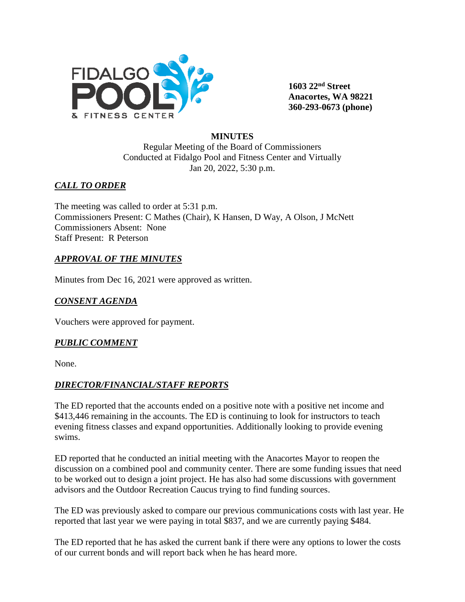

**1603 22nd Street Anacortes, WA 98221 360-293-0673 (phone)** 

### **MINUTES**

Regular Meeting of the Board of Commissioners Conducted at Fidalgo Pool and Fitness Center and Virtually Jan 20, 2022, 5:30 p.m.

# *CALL TO ORDER*

The meeting was called to order at 5:31 p.m. Commissioners Present: C Mathes (Chair), K Hansen, D Way, A Olson, J McNett Commissioners Absent: None Staff Present: R Peterson

## *APPROVAL OF THE MINUTES*

Minutes from Dec 16, 2021 were approved as written.

## *CONSENT AGENDA*

Vouchers were approved for payment.

### *PUBLIC COMMENT*

None.

### *DIRECTOR/FINANCIAL/STAFF REPORTS*

The ED reported that the accounts ended on a positive note with a positive net income and \$413,446 remaining in the accounts. The ED is continuing to look for instructors to teach evening fitness classes and expand opportunities. Additionally looking to provide evening swims.

ED reported that he conducted an initial meeting with the Anacortes Mayor to reopen the discussion on a combined pool and community center. There are some funding issues that need to be worked out to design a joint project. He has also had some discussions with government advisors and the Outdoor Recreation Caucus trying to find funding sources.

The ED was previously asked to compare our previous communications costs with last year. He reported that last year we were paying in total \$837, and we are currently paying \$484.

The ED reported that he has asked the current bank if there were any options to lower the costs of our current bonds and will report back when he has heard more.